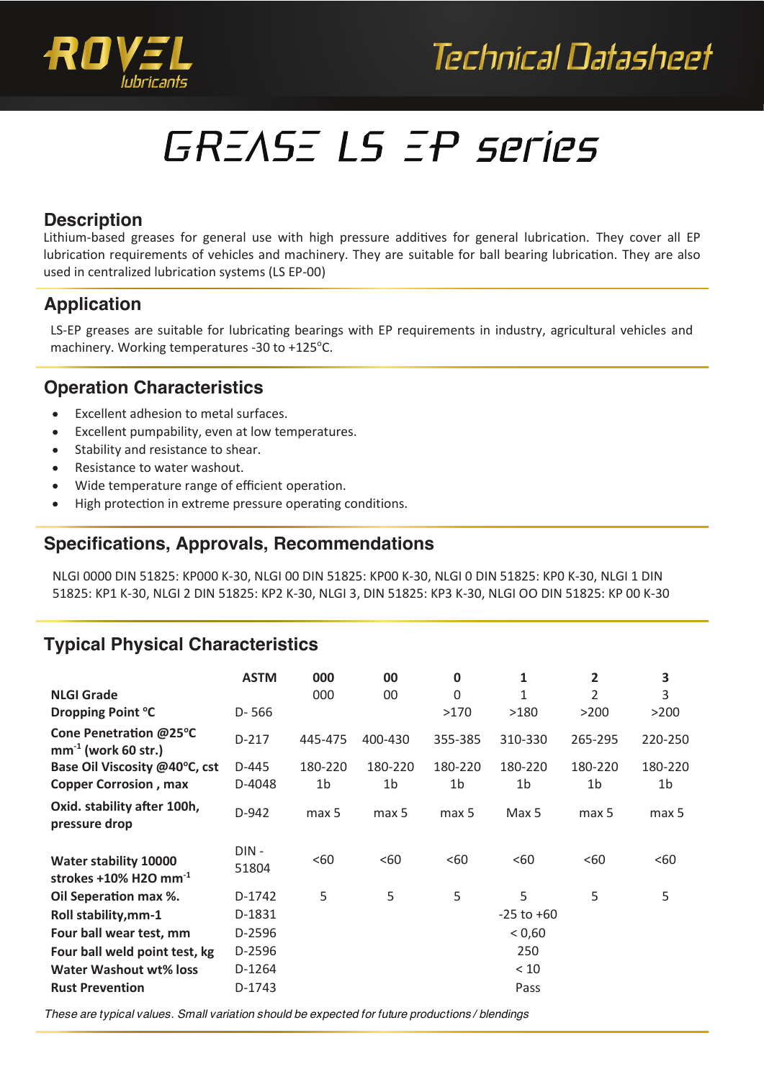



# GREASE LS EP series

#### **Description**

Lithium-based greases for general use with high pressure additives for general lubrication. They cover all EP lubrication requirements of vehicles and machinery. They are suitable for ball bearing lubrication. They are also used in centralized lubrication systems (LS EP-00)

## **Application**

LS-EP greases are suitable for lubricating bearings with EP requirements in industry, agricultural vehicles and machinery. Working temperatures -30 to +125°C.

#### **Operation Characteristics**

- $\bullet$ Excellent adhesion to metal surfaces.
- Excellent pumpability, even at low temperatures.
- Stability and resistance to shear.
- Resistance to water washout.
- Wide temperature range of efficient operation.
- High protection in extreme pressure operating conditions.

#### **Specifications, Approvals, Recommendations**

NLGI 0000 DIN 51825: KP000 K-30, NLGI 00 DIN 51825: KP00 K-30, NLGI 0 DIN 51825: KP0 K-30, NLGI 1 DIN 51825: KP1 K-30, NLGI 2 DIN 51825: KP2 K-30, NLGI 3, DIN 51825: KP3 K-30, NLGI OO DIN 51825: KP 00 K-30

# **Typical Physical Characteristics**

|                                                             | <b>ASTM</b>   | 000     | 00             | $\mathbf 0$    | 1              | 2              | 3                |
|-------------------------------------------------------------|---------------|---------|----------------|----------------|----------------|----------------|------------------|
| <b>NLGI Grade</b>                                           |               | 000     | 00             | $\Omega$       |                | 2              | 3                |
| Dropping Point °C                                           | $D - 566$     |         |                | >170           | >180           | >200           | >200             |
| Cone Penetration @25°C<br>$mm^{-1}$ (work 60 str.)          | $D-217$       | 445-475 | 400-430        | 355-385        | 310-330        | 265-295        | 220-250          |
| Base Oil Viscosity @40°C, cst                               | D-445         | 180-220 | 180-220        | 180-220        | 180-220        | 180-220        | 180-220          |
| <b>Copper Corrosion, max</b>                                | D-4048        | 1b      | 1 <sub>b</sub> | 1 <sub>b</sub> | 1 <sub>b</sub> | 1 <sub>b</sub> | 1 <sub>b</sub>   |
| Oxid. stability after 100h,<br>pressure drop                | D-942         | max 5   | max 5          | max 5          | Max 5          | max 5          | max <sub>5</sub> |
| <b>Water stability 10000</b><br>strokes +10% H2O mm $^{-1}$ | DIN-<br>51804 | <60     | <60            | <60            | <60            | <60            | <60              |
| Oil Seperation max %.                                       | D-1742        | 5       | 5              | 5              | 5              | 5              | 5                |
| Roll stability, mm-1                                        | D-1831        |         |                |                | $-25$ to $+60$ |                |                  |
| Four ball wear test, mm                                     | D-2596        |         |                |                | < 0,60         |                |                  |
| Four ball weld point test, kg                               | D-2596        |         |                |                | 250            |                |                  |
| Water Washout wt% loss                                      | D-1264        |         |                |                | < 10           |                |                  |
| <b>Rust Prevention</b>                                      | D-1743        |         |                |                | Pass           |                |                  |

*These are typical values. Small variation should be expected for future productions / blendings*